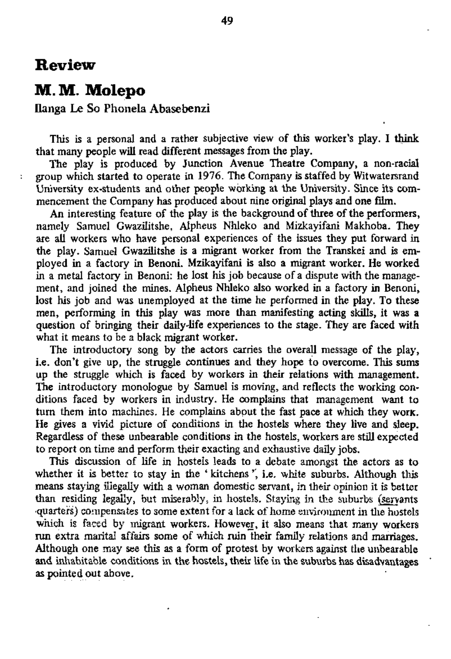## **Review**

÷

## **M.M. Molepo**

## Ilanga Le So Phonela Abasebenzi

This is a personal and a rather subjective view of this worker's play. I think that many people will read different messages from the play.

An interesting feature of the play is the background of three of the performers, namely Samuel Gwazilitshe, Alpheus Nhleko and Mizkayifani Makhoba. They are all workers who have personal experiences of the issues they put forward in the play. Samuel Gwazilitshe is a migrant worker from the Transkei and is employed in a factory in Benoni. Mzikayifani is also a migrant worker. He worked in a metal factory in Benoni: he lost his job because of a dispute with the management, and joined the mines. Alpheus Nhleko also worked in a factory in Benoni, lost his job and was unemployed at the time he performed in the play. To these men, performing in this play was more than manifesting acting skills, it was a question of bringing their daily'life experiences to the stage. They are faced with what it means to be a black migrant worker.

The play is produced by Junction Avenue Theatre Company, a non-racial group which started to operate in 1976. The Company is staffed by Witwatersrand University ex-students and other people working at the University. Since its commencement the Company has produced about nine original plays and one film.

The introductory song by the actors carries the overall message of the play, i.e. don't give up, the struggle continues and they hope to overcome. This sums up the struggle which is faced by workers in their relations with management. The introductory monologue by Samuel is moving, and reflects the working conditions faced by workers in industry. He complains that management want to turn them into machines. He complains about the fast pace at which they work. He gives a vivid picture of conditions in the hostels where they live and sleep. Regardless of these unbearable conditions in the hostels, workers are still expected to report on time and perform their exacting and exhaustive daily jobs.

This discussion of life in hostels leads to a debate amongst the actors as to whether it is better to stay in the 'kitchens', i.e. white suburbs. Although this means staying illegally with a woman domestic servant, in their opinion it is better than residing legally, but miserably, in hostels. Staying in the suburbs (servants •quarters) compensates to some extent for a lack of home environment in the hostels which is faced by migrant workers. However, it also means that many workers run extra marital affairs some of which ruin their family relations and marriages. Although one may see this as a form of protest by workers against the unbearable and inhabitable conditions in the hostels, their life in the suburbs has disadvantages as pointed out above.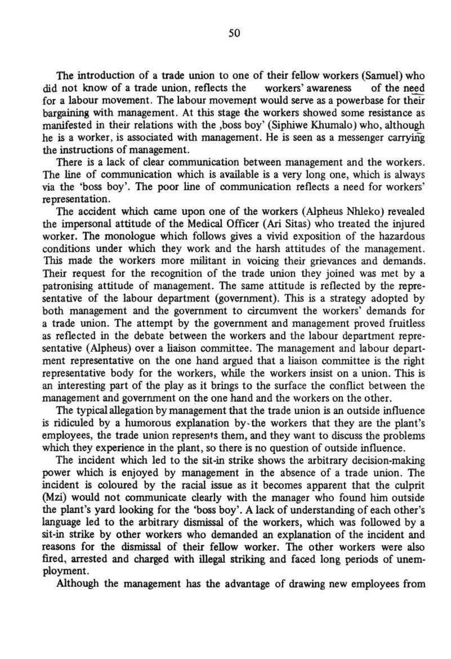The introduction of a trade union to one of their fellow workers (Samuel) who did not know of a trade union, reflects the workers' awareness of the need for a labour movement. The labour movement would serve as a powerbase for their bargaining with management. At this stage the workers showed some resistance as manifested in their relations with the ,boss boy' (Siphiwe Khumalo) who, although he is a worker, is associated with management. He is seen as a messenger carrying the instructions of management.

There is a lack of clear communication between management and the workers. The line of communication which is available is a very long one, which is always via the 'boss boy'. The poor line of communication reflects a need for workers' representation.

The accident which came upon one of the workers (Alpheus Nhieko) revealed the impersonal attitude of the Medical Officer (Ari Sitas) who treated the injured worker. The monologue which follows gives a vivid exposition of the hazardous conditions under which they work and the harsh attitudes of the management. This made the workers more militant in voicing their grievances and demands. Their request for the recognition of the trade union they joined was met by a patronising attitude of management. The same attitude is reflected by the representative of the labour department (government). This is a strategy adopted by both management and the government to circumvent the workers' demands for a trade union. The attempt by the government and management proved fruitless as reflected in the debate between the workers and the labour department representative (Alpheus) over a liaison committee. The management and labour department representative on the one hand argued that a liaison committee is the right representative body for the workers, while the workers insist on a union. This is an interesting part of the play as it brings to the surface the conflict between the management and government on the one hand and the workers on the other.

The typical allegation by management that the trade union is an outside influence is ridiculed by a humorous explanation by-the workers that they are the plant's employees, the trade union represents them, and they want to discuss the problems which they experience in the plant, so there is no question of outside influence.

The incident which led to the sit-in strike shows the arbitrary decision-making power which is enjoyed by management in the absence of a trade union. The incident is coloured by the racial issue as it becomes apparent that the culprit (Mzi) would not communicate clearly with the manager who found him outside the plant's yard looking for the 'boss boy'. A lack of understanding of each other's language led to the arbitrary dismissal of the workers, which was followed by a sit-in strike by other workers who demanded an explanation of the incident and reasons for the dismissal of their fellow worker. The other workers were also fired, arrested and charged with illegal striking and faced long periods of unemployment.

Although the management has the advantage of drawing new employees from